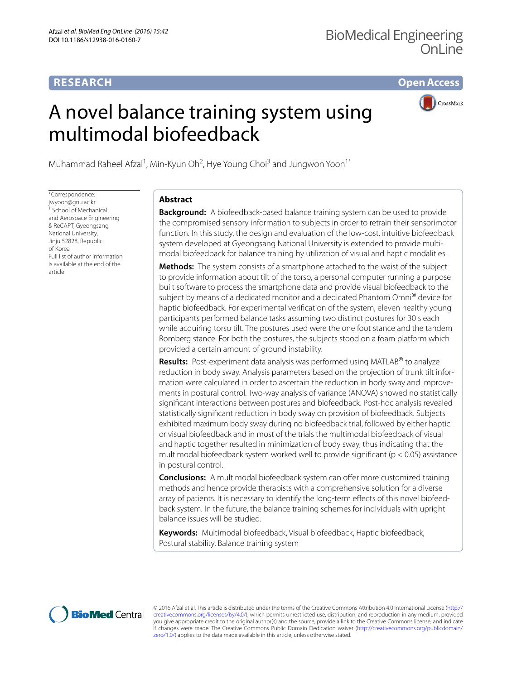## **RESEARCH**

**Open Access**

# A novel balance training system using multimodal biofeedback



Muhammad Raheel Afzal<sup>1</sup>, Min-Kyun Oh<sup>2</sup>, Hye Young Choi<sup>3</sup> and Jungwon Yoon<sup>1\*</sup>

\*Correspondence: jwyoon@gnu.ac.kr <sup>1</sup> School of Mechanical and Aerospace Engineering & ReCAPT, Gyeongsang National University, Jinju 52828, Republic of Korea Full list of author information is available at the end of the article

## **Abstract**

**Background:** A biofeedback-based balance training system can be used to provide the compromised sensory information to subjects in order to retrain their sensorimotor function. In this study, the design and evaluation of the low-cost, intuitive biofeedback system developed at Gyeongsang National University is extended to provide multimodal biofeedback for balance training by utilization of visual and haptic modalities.

**Methods:** The system consists of a smartphone attached to the waist of the subject to provide information about tilt of the torso, a personal computer running a purpose built software to process the smartphone data and provide visual biofeedback to the subject by means of a dedicated monitor and a dedicated Phantom Omni<sup>®</sup> device for haptic biofeedback. For experimental verification of the system, eleven healthy young participants performed balance tasks assuming two distinct postures for 30 s each while acquiring torso tilt. The postures used were the one foot stance and the tandem Romberg stance. For both the postures, the subjects stood on a foam platform which provided a certain amount of ground instability.

**Results:** Post-experiment data analysis was performed using MATLAB<sup>®</sup> to analyze reduction in body sway. Analysis parameters based on the projection of trunk tilt information were calculated in order to ascertain the reduction in body sway and improvements in postural control. Two-way analysis of variance (ANOVA) showed no statistically significant interactions between postures and biofeedback. Post-hoc analysis revealed statistically significant reduction in body sway on provision of biofeedback. Subjects exhibited maximum body sway during no biofeedback trial, followed by either haptic or visual biofeedback and in most of the trials the multimodal biofeedback of visual and haptic together resulted in minimization of body sway, thus indicating that the multimodal biofeedback system worked well to provide significant ( $p < 0.05$ ) assistance in postural control.

**Conclusions:** A multimodal biofeedback system can offer more customized training methods and hence provide therapists with a comprehensive solution for a diverse array of patients. It is necessary to identify the long-term effects of this novel biofeedback system. In the future, the balance training schemes for individuals with upright balance issues will be studied.

**Keywords:** Multimodal biofeedback, Visual biofeedback, Haptic biofeedback, Postural stability, Balance training system



© 2016 Afzal et al. This article is distributed under the terms of the Creative Commons Attribution 4.0 International License ([http://](http://creativecommons.org/licenses/by/4.0/) [creativecommons.org/licenses/by/4.0/](http://creativecommons.org/licenses/by/4.0/)), which permits unrestricted use, distribution, and reproduction in any medium, provided you give appropriate credit to the original author(s) and the source, provide a link to the Creative Commons license, and indicate if changes were made. The Creative Commons Public Domain Dedication waiver ([http://creativecommons.org/publicdomain/](http://creativecommons.org/publicdomain/zero/1.0/) [zero/1.0/](http://creativecommons.org/publicdomain/zero/1.0/)) applies to the data made available in this article, unless otherwise stated.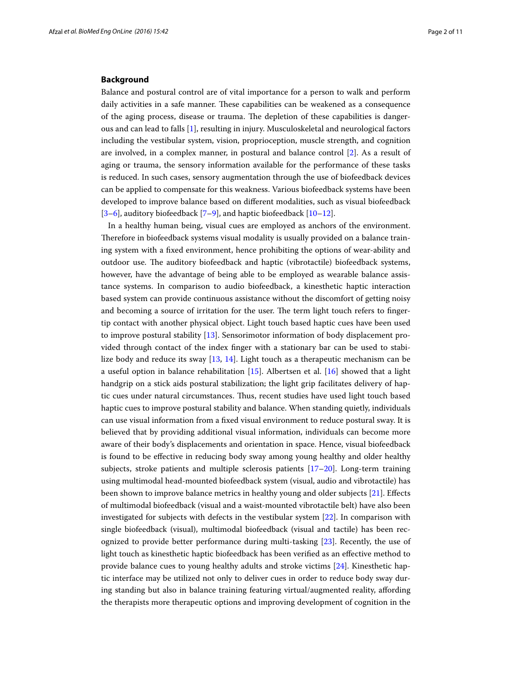### **Background**

Balance and postural control are of vital importance for a person to walk and perform daily activities in a safe manner. These capabilities can be weakened as a consequence of the aging process, disease or trauma. The depletion of these capabilities is dangerous and can lead to falls [[1](#page-10-0)], resulting in injury. Musculoskeletal and neurological factors including the vestibular system, vision, proprioception, muscle strength, and cognition are involved, in a complex manner, in postural and balance control [[2\]](#page-10-1). As a result of aging or trauma, the sensory information available for the performance of these tasks is reduced. In such cases, sensory augmentation through the use of biofeedback devices can be applied to compensate for this weakness. Various biofeedback systems have been developed to improve balance based on different modalities, such as visual biofeedback [[3–](#page-10-2)[6\]](#page-10-3), auditory biofeedback [[7–](#page-10-4)[9\]](#page-10-5), and haptic biofeedback [\[10](#page-10-6)[–12\]](#page-10-7).

In a healthy human being, visual cues are employed as anchors of the environment. Therefore in biofeedback systems visual modality is usually provided on a balance training system with a fixed environment, hence prohibiting the options of wear-ability and outdoor use. The auditory biofeedback and haptic (vibrotactile) biofeedback systems, however, have the advantage of being able to be employed as wearable balance assistance systems. In comparison to audio biofeedback, a kinesthetic haptic interaction based system can provide continuous assistance without the discomfort of getting noisy and becoming a source of irritation for the user. The term light touch refers to fingertip contact with another physical object. Light touch based haptic cues have been used to improve postural stability [\[13](#page-10-8)]. Sensorimotor information of body displacement provided through contact of the index finger with a stationary bar can be used to stabilize body and reduce its sway [\[13](#page-10-8), [14](#page-10-9)]. Light touch as a therapeutic mechanism can be a useful option in balance rehabilitation  $[15]$  $[15]$ . Albertsen et al.  $[16]$  $[16]$  showed that a light handgrip on a stick aids postural stabilization; the light grip facilitates delivery of haptic cues under natural circumstances. Thus, recent studies have used light touch based haptic cues to improve postural stability and balance. When standing quietly, individuals can use visual information from a fixed visual environment to reduce postural sway. It is believed that by providing additional visual information, individuals can become more aware of their body's displacements and orientation in space. Hence, visual biofeedback is found to be effective in reducing body sway among young healthy and older healthy subjects, stroke patients and multiple sclerosis patients [\[17–](#page-10-12)[20\]](#page-10-13). Long-term training using multimodal head-mounted biofeedback system (visual, audio and vibrotactile) has been shown to improve balance metrics in healthy young and older subjects [[21](#page-10-14)]. Effects of multimodal biofeedback (visual and a waist-mounted vibrotactile belt) have also been investigated for subjects with defects in the vestibular system [\[22\]](#page-10-15). In comparison with single biofeedback (visual), multimodal biofeedback (visual and tactile) has been recognized to provide better performance during multi-tasking [[23](#page-10-16)]. Recently, the use of light touch as kinesthetic haptic biofeedback has been verified as an effective method to provide balance cues to young healthy adults and stroke victims [[24\]](#page-10-17). Kinesthetic haptic interface may be utilized not only to deliver cues in order to reduce body sway during standing but also in balance training featuring virtual/augmented reality, affording the therapists more therapeutic options and improving development of cognition in the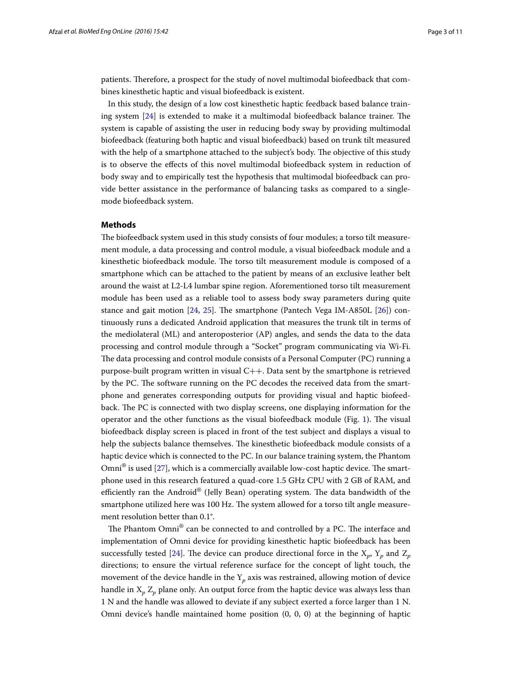patients. Therefore, a prospect for the study of novel multimodal biofeedback that combines kinesthetic haptic and visual biofeedback is existent.

In this study, the design of a low cost kinesthetic haptic feedback based balance training system [[24\]](#page-10-17) is extended to make it a multimodal biofeedback balance trainer. The system is capable of assisting the user in reducing body sway by providing multimodal biofeedback (featuring both haptic and visual biofeedback) based on trunk tilt measured with the help of a smartphone attached to the subject's body. The objective of this study is to observe the effects of this novel multimodal biofeedback system in reduction of body sway and to empirically test the hypothesis that multimodal biofeedback can provide better assistance in the performance of balancing tasks as compared to a singlemode biofeedback system.

## **Methods**

The biofeedback system used in this study consists of four modules; a torso tilt measurement module, a data processing and control module, a visual biofeedback module and a kinesthetic biofeedback module. The torso tilt measurement module is composed of a smartphone which can be attached to the patient by means of an exclusive leather belt around the waist at L2-L4 lumbar spine region. Aforementioned torso tilt measurement module has been used as a reliable tool to assess body sway parameters during quite stance and gait motion [[24,](#page-10-17) [25](#page-10-18)]. The smartphone (Pantech Vega IM-A850L [\[26](#page-10-19)]) continuously runs a dedicated Android application that measures the trunk tilt in terms of the mediolateral (ML) and anteroposterior (AP) angles, and sends the data to the data processing and control module through a "Socket" program communicating via Wi-Fi. The data processing and control module consists of a Personal Computer (PC) running a purpose-built program written in visual  $C++$ . Data sent by the smartphone is retrieved by the PC. The software running on the PC decodes the received data from the smartphone and generates corresponding outputs for providing visual and haptic biofeedback. The PC is connected with two display screens, one displaying information for the operator and the other functions as the visual biofeedback module (Fig. [1\)](#page-3-0). The visual biofeedback display screen is placed in front of the test subject and displays a visual to help the subjects balance themselves. The kinesthetic biofeedback module consists of a haptic device which is connected to the PC. In our balance training system, the Phantom  $Omni^{\circledast}$  is used [\[27](#page-10-20)], which is a commercially available low-cost haptic device. The smartphone used in this research featured a quad-core 1.5 GHz CPU with 2 GB of RAM, and efficiently ran the Android® (Jelly Bean) operating system. The data bandwidth of the smartphone utilized here was 100 Hz. The system allowed for a torso tilt angle measurement resolution better than 0.1°.

The Phantom Omni® can be connected to and controlled by a PC. The interface and implementation of Omni device for providing kinesthetic haptic biofeedback has been successfully tested [[24\]](#page-10-17). The device can produce directional force in the  $X_p$ ,  $Y_p$  and  $Z_p$ directions; to ensure the virtual reference surface for the concept of light touch, the movement of the device handle in the  $Y_p$  axis was restrained, allowing motion of device handle in X*p* Z*p* plane only. An output force from the haptic device was always less than 1 N and the handle was allowed to deviate if any subject exerted a force larger than 1 N. Omni device's handle maintained home position (0, 0, 0) at the beginning of haptic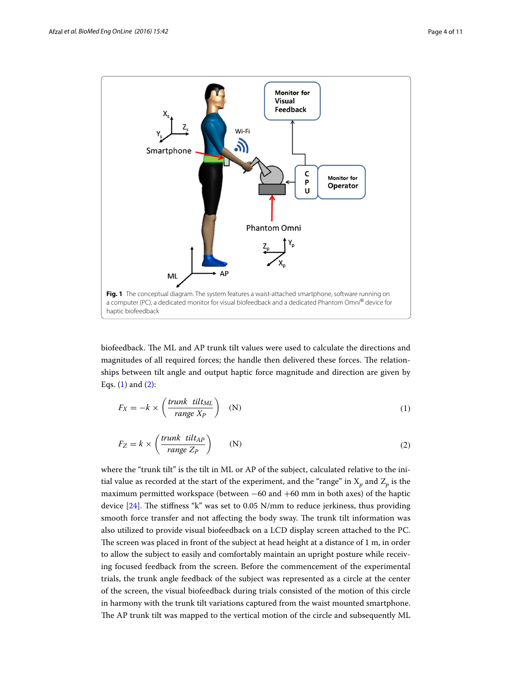

<span id="page-3-0"></span>biofeedback. The ML and AP trunk tilt values were used to calculate the directions and magnitudes of all required forces; the handle then delivered these forces. The relationships between tilt angle and output haptic force magnitude and direction are given by Eqs.  $(1)$  $(1)$  and  $(2)$  $(2)$ :

<span id="page-3-1"></span>
$$
F_X = -k \times \left(\frac{trunk \; tilt_{ML}}{range \; X_P}\right) \quad (N)
$$

<span id="page-3-2"></span>
$$
F_Z = k \times \left(\frac{trunk \ \text{tilt}_{AP}}{range \ Z_P}\right) \tag{2}
$$

where the "trunk tilt" is the tilt in ML or AP of the subject, calculated relative to the initial value as recorded at the start of the experiment, and the "range" in  $X_p$  and  $Z_p$  is the maximum permitted workspace (between −60 and +60 mm in both axes) of the haptic device [[24\]](#page-10-17). The stiffness "k" was set to 0.05 N/mm to reduce jerkiness, thus providing smooth force transfer and not affecting the body sway. The trunk tilt information was also utilized to provide visual biofeedback on a LCD display screen attached to the PC. The screen was placed in front of the subject at head height at a distance of 1 m, in order to allow the subject to easily and comfortably maintain an upright posture while receiving focused feedback from the screen. Before the commencement of the experimental trials, the trunk angle feedback of the subject was represented as a circle at the center of the screen, the visual biofeedback during trials consisted of the motion of this circle in harmony with the trunk tilt variations captured from the waist mounted smartphone. The AP trunk tilt was mapped to the vertical motion of the circle and subsequently ML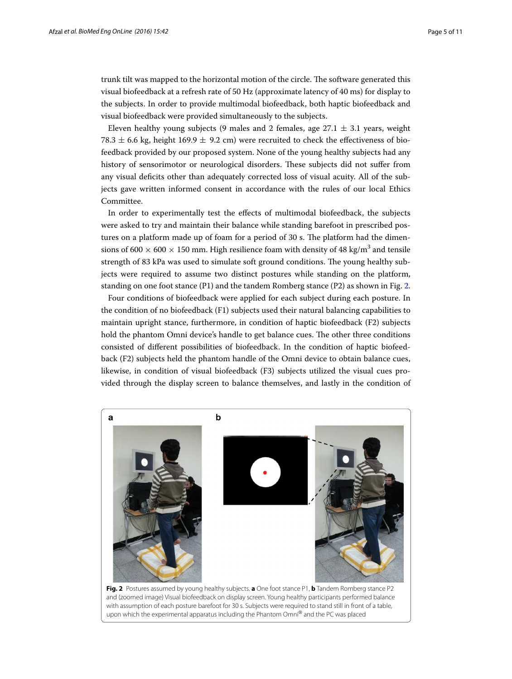trunk tilt was mapped to the horizontal motion of the circle. The software generated this visual biofeedback at a refresh rate of 50 Hz (approximate latency of 40 ms) for display to the subjects. In order to provide multimodal biofeedback, both haptic biofeedback and visual biofeedback were provided simultaneously to the subjects.

Eleven healthy young subjects (9 males and 2 females, age  $27.1 \pm 3.1$  years, weight 78.3  $\pm$  6.6 kg, height 169.9  $\pm$  9.2 cm) were recruited to check the effectiveness of biofeedback provided by our proposed system. None of the young healthy subjects had any history of sensorimotor or neurological disorders. These subjects did not suffer from any visual deficits other than adequately corrected loss of visual acuity. All of the subjects gave written informed consent in accordance with the rules of our local Ethics Committee.

In order to experimentally test the effects of multimodal biofeedback, the subjects were asked to try and maintain their balance while standing barefoot in prescribed postures on a platform made up of foam for a period of 30 s. The platform had the dimensions of 600  $\times$  600  $\times$  150 mm. High resilience foam with density of 48 kg/m<sup>3</sup> and tensile strength of 83 kPa was used to simulate soft ground conditions. The young healthy subjects were required to assume two distinct postures while standing on the platform, standing on one foot stance (P1) and the tandem Romberg stance (P2) as shown in Fig. [2](#page-4-0).

Four conditions of biofeedback were applied for each subject during each posture. In the condition of no biofeedback (F1) subjects used their natural balancing capabilities to maintain upright stance, furthermore, in condition of haptic biofeedback (F2) subjects hold the phantom Omni device's handle to get balance cues. The other three conditions consisted of different possibilities of biofeedback. In the condition of haptic biofeedback (F2) subjects held the phantom handle of the Omni device to obtain balance cues, likewise, in condition of visual biofeedback (F3) subjects utilized the visual cues provided through the display screen to balance themselves, and lastly in the condition of



<span id="page-4-0"></span>**Fig. 2** Postures assumed by young healthy subjects. **a** One foot stance P1, **b** Tandem Romberg stance P2 and (zoomed image) Visual biofeedback on display screen. Young healthy participants performed balance with assumption of each posture barefoot for 30 s. Subjects were required to stand still in front of a table, upon which the experimental apparatus including the Phantom Omni® and the PC was placed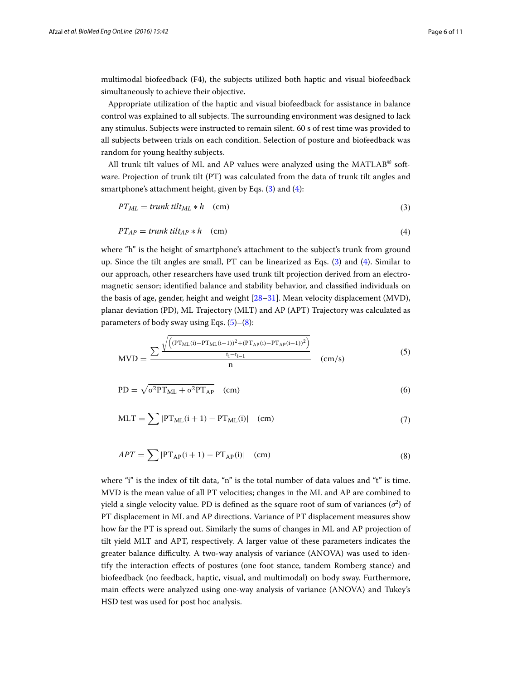multimodal biofeedback (F4), the subjects utilized both haptic and visual biofeedback simultaneously to achieve their objective.

Appropriate utilization of the haptic and visual biofeedback for assistance in balance control was explained to all subjects. The surrounding environment was designed to lack any stimulus. Subjects were instructed to remain silent. 60 s of rest time was provided to all subjects between trials on each condition. Selection of posture and biofeedback was random for young healthy subjects.

All trunk tilt values of ML and AP values were analyzed using the MATLAB<sup>®</sup> software. Projection of trunk tilt (PT) was calculated from the data of trunk tilt angles and smartphone's attachment height, given by Eqs. [\(3](#page-5-0)) and [\(4](#page-5-1)):

<span id="page-5-1"></span><span id="page-5-0"></span>
$$
PT_{ML} = trunk\ till_{ML} * h \quad (cm)
$$
\n(3)

$$
PT_{AP} = trunk\ tilt_{AP} * h \quad (cm)
$$
\n(4)

where "h" is the height of smartphone's attachment to the subject's trunk from ground up. Since the tilt angles are small, PT can be linearized as Eqs. [\(3](#page-5-0)) and ([4\)](#page-5-1). Similar to our approach, other researchers have used trunk tilt projection derived from an electromagnetic sensor; identified balance and stability behavior, and classified individuals on the basis of age, gender, height and weight [[28](#page-10-21)[–31](#page-10-22)]. Mean velocity displacement (MVD), planar deviation (PD), ML Trajectory (MLT) and AP (APT) Trajectory was calculated as parameters of body sway using Eqs.  $(5)-(8)$  $(5)-(8)$  $(5)-(8)$  $(5)-(8)$ :

<span id="page-5-2"></span>
$$
MVD = \frac{\sum \frac{\sqrt{\left((PT_{ML}(i) - PT_{ML}(i-1))^{2} + (PT_{AP}(i) - PT_{AP}(i-1))^{2}\right)}}{t_{i} - t_{i-1}}}{n}
$$
 (cm/s) (5)

$$
PD = \sqrt{\sigma^2 PT_{ML} + \sigma^2 PT_{AP}} \quad (cm)
$$
 (6)

$$
MLT = \sum |PT_{ML}(i+1) - PT_{ML}(i)| \quad (cm)
$$
\n(7)

<span id="page-5-3"></span>
$$
APT = \sum |PT_{AP}(i+1) - PT_{AP}(i)| \quad (cm)
$$
\n(8)

where "i" is the index of tilt data, "n" is the total number of data values and "t" is time. MVD is the mean value of all PT velocities; changes in the ML and AP are combined to yield a single velocity value. PD is defined as the square root of sum of variances  $(\sigma^2)$  of PT displacement in ML and AP directions. Variance of PT displacement measures show how far the PT is spread out. Similarly the sums of changes in ML and AP projection of tilt yield MLT and APT, respectively. A larger value of these parameters indicates the greater balance difficulty. A two-way analysis of variance (ANOVA) was used to identify the interaction effects of postures (one foot stance, tandem Romberg stance) and biofeedback (no feedback, haptic, visual, and multimodal) on body sway. Furthermore, main effects were analyzed using one-way analysis of variance (ANOVA) and Tukey's HSD test was used for post hoc analysis.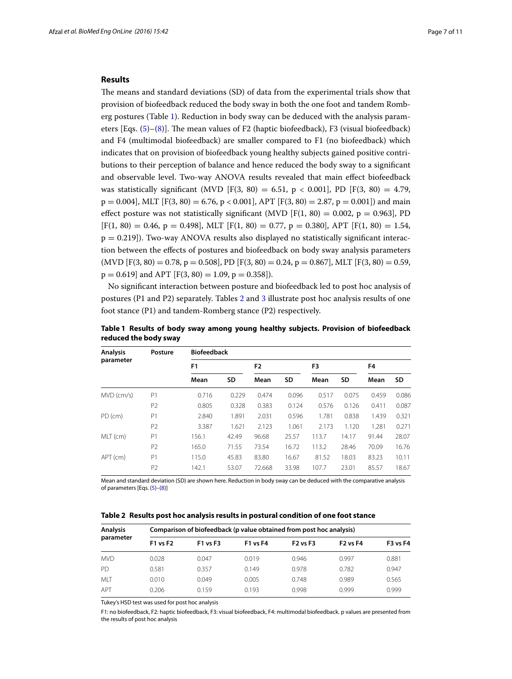## **Results**

The means and standard deviations (SD) of data from the experimental trials show that provision of biofeedback reduced the body sway in both the one foot and tandem Romberg postures (Table [1](#page-6-0)). Reduction in body sway can be deduced with the analysis parameters [Eqs. [\(5\)](#page-5-2)–[\(8](#page-5-3))]. The mean values of F2 (haptic biofeedback), F3 (visual biofeedback) and F4 (multimodal biofeedback) are smaller compared to F1 (no biofeedback) which indicates that on provision of biofeedback young healthy subjects gained positive contributions to their perception of balance and hence reduced the body sway to a significant and observable level. Two-way ANOVA results revealed that main effect biofeedback was statistically significant (MVD [F(3, 80) = 6.51, p < 0.001], PD [F(3, 80) = 4.79,  $p = 0.004$ , MLT [F(3, 80) = 6.76, p < 0.001], APT [F(3, 80) = 2.87, p = 0.001]) and main effect posture was not statistically significant (MVD [F(1, 80) = 0.002, p = 0.963], PD  $[F(1, 80) = 0.46, p = 0.498], MLT$   $[F(1, 80) = 0.77, p = 0.380], APT$   $[F(1, 80) = 1.54,$  $p = 0.219$ ]). Two-way ANOVA results also displayed no statistically significant interaction between the effects of postures and biofeedback on body sway analysis parameters  $(MVD [F(3, 80) = 0.78, p = 0.508], PD [F(3, 80) = 0.24, p = 0.867], MLT [F(3, 80) = 0.59,$  $p = 0.619$  and APT [F(3, 80) = 1.09,  $p = 0.358$ ]).

No significant interaction between posture and biofeedback led to post hoc analysis of postures (P1 and P2) separately. Tables [2](#page-6-1) and [3](#page-7-0) illustrate post hoc analysis results of one foot stance (P1) and tandem-Romberg stance (P2) respectively.

| <b>Analysis</b><br>parameter | Posture        | <b>Biofeedback</b> |       |                |       |       |       |       |       |  |
|------------------------------|----------------|--------------------|-------|----------------|-------|-------|-------|-------|-------|--|
|                              |                | F <sub>1</sub>     |       | F <sub>2</sub> |       | F3    |       | F4    |       |  |
|                              |                | Mean               | SD    | Mean           | SD    | Mean  | SD    | Mean  | SD    |  |
| $MVD$ (cm/s)                 | P1             | 0.716              | 0.229 | 0.474          | 0.096 | 0.517 | 0.075 | 0.459 | 0.086 |  |
|                              | P <sub>2</sub> | 0.805              | 0.328 | 0.383          | 0.124 | 0.576 | 0.126 | 0.411 | 0.087 |  |
| PD (cm)                      | P1             | 2.840              | 1.891 | 2.031          | 0.596 | 1.781 | 0.838 | 1.439 | 0.321 |  |
|                              | P <sub>2</sub> | 3.387              | 1.621 | 2.123          | 1.061 | 2.173 | 1.120 | 1.281 | 0.271 |  |
| MLT (cm)                     | P1             | 156.1              | 42.49 | 96.68          | 25.57 | 113.7 | 14.17 | 91.44 | 28.07 |  |
|                              | P <sub>2</sub> | 165.0              | 71.55 | 73.54          | 16.72 | 113.2 | 28.46 | 70.09 | 16.76 |  |
| APT (cm)                     | P1             | 115.0              | 45.83 | 83.80          | 16.67 | 81.52 | 18.03 | 83.23 | 10.11 |  |
|                              | P <sub>2</sub> | 142.1              | 53.07 | 72.668         | 33.98 | 107.7 | 23.01 | 85.57 | 18.67 |  |

<span id="page-6-0"></span>**Table 1 Results of body sway among young healthy subjects. Provision of biofeedback reduced the body sway**

Mean and standard deviation (SD) are shown here. Reduction in body sway can be deduced with the comparative analysis of parameters [Eqs. ([5](#page-5-2))–([8](#page-5-3))]

<span id="page-6-1"></span>**Table 2 Results post hoc analysis results in postural condition of one foot stance**

| <b>Analysis</b><br>parameter | Comparison of biofeedback (p value obtained from post hoc analysis) |                 |                 |                 |                 |                 |  |  |  |
|------------------------------|---------------------------------------------------------------------|-----------------|-----------------|-----------------|-----------------|-----------------|--|--|--|
|                              | F1 vs F2                                                            | <b>F1 vs F3</b> | <b>F1 vs F4</b> | <b>F2 vs F3</b> | <b>F2 vs F4</b> | <b>F3 vs F4</b> |  |  |  |
| <b>MVD</b>                   | 0.028                                                               | 0.047           | 0.019           | 0.946           | 0.997           | 0.881           |  |  |  |
| <b>PD</b>                    | 0.581                                                               | 0.357           | 0.149           | 0.978           | 0.782           | 0.947           |  |  |  |
| <b>MIT</b>                   | 0.010                                                               | 0.049           | 0.005           | 0.748           | 0.989           | 0.565           |  |  |  |
| <b>APT</b>                   | 0.206                                                               | 0.159           | 0.193           | 0.998           | 0.999           | 0.999           |  |  |  |

Tukey's HSD test was used for post hoc analysis

F1: no biofeedback, F2: haptic biofeedback, F3: visual biofeedback, F4: multimodal biofeedback. p values are presented from the results of post hoc analysis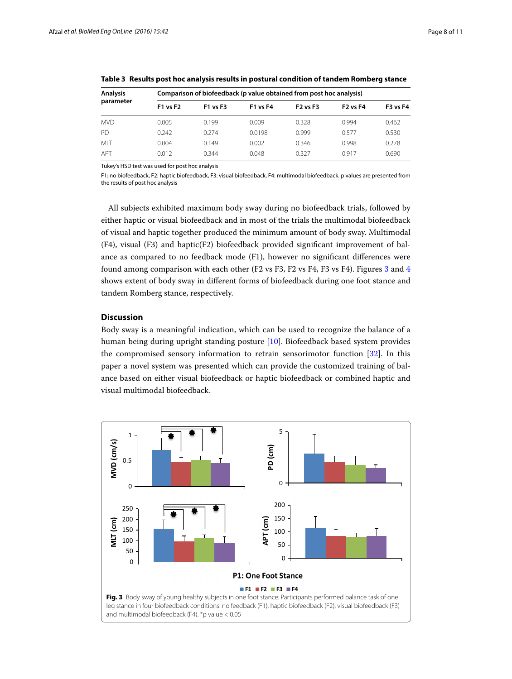| Analysis<br>parameter | Comparison of biofeedback (p value obtained from post hoc analysis) |          |                 |                 |                 |                 |  |  |  |
|-----------------------|---------------------------------------------------------------------|----------|-----------------|-----------------|-----------------|-----------------|--|--|--|
|                       | <b>F1 vs F2</b>                                                     | F1 vs F3 | <b>F1 vs F4</b> | <b>F2 vs F3</b> | <b>F2 vs F4</b> | <b>F3 vs F4</b> |  |  |  |
| MVD                   | 0.005                                                               | 0.199    | 0.009           | 0.328           | 0.994           | 0.462           |  |  |  |
| PD                    | 0.242                                                               | 0.274    | 0.0198          | 0.999           | 0.577           | 0.530           |  |  |  |
| <b>MIT</b>            | 0.004                                                               | 0.149    | 0.002           | 0.346           | 0.998           | 0.278           |  |  |  |
| APT                   | 0.012                                                               | 0.344    | 0.048           | 0.327           | 0.917           | 0.690           |  |  |  |

<span id="page-7-0"></span>**Table 3 Results post hoc analysis results in postural condition of tandem Romberg stance**

Tukey's HSD test was used for post hoc analysis

F1: no biofeedback, F2: haptic biofeedback, F3: visual biofeedback, F4: multimodal biofeedback. p values are presented from the results of post hoc analysis

All subjects exhibited maximum body sway during no biofeedback trials, followed by either haptic or visual biofeedback and in most of the trials the multimodal biofeedback of visual and haptic together produced the minimum amount of body sway. Multimodal (F4), visual (F3) and haptic(F2) biofeedback provided significant improvement of balance as compared to no feedback mode (F1), however no significant differences were found among comparison with each other (F2 vs F3, F2 vs F4, F3 vs F4). Figures [3](#page-7-1) and [4](#page-8-0) shows extent of body sway in different forms of biofeedback during one foot stance and tandem Romberg stance, respectively.

## **Discussion**

Body sway is a meaningful indication, which can be used to recognize the balance of a human being during upright standing posture [[10\]](#page-10-6). Biofeedback based system provides the compromised sensory information to retrain sensorimotor function [\[32\]](#page-10-23). In this paper a novel system was presented which can provide the customized training of balance based on either visual biofeedback or haptic biofeedback or combined haptic and visual multimodal biofeedback.

<span id="page-7-1"></span>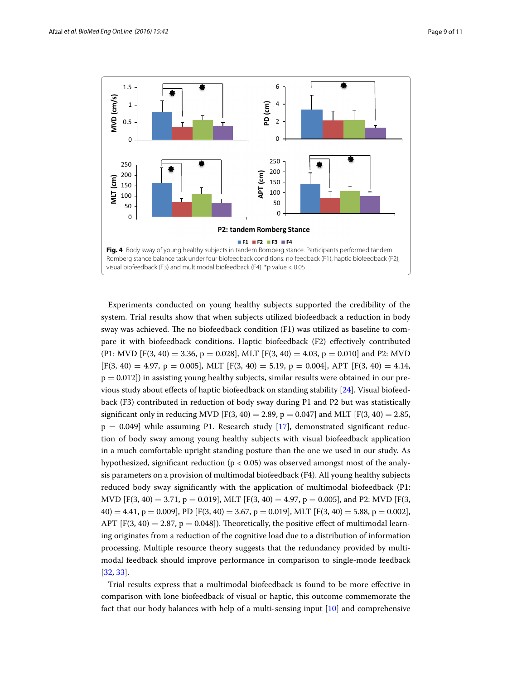

<span id="page-8-0"></span>Experiments conducted on young healthy subjects supported the credibility of the system. Trial results show that when subjects utilized biofeedback a reduction in body sway was achieved. The no biofeedback condition (F1) was utilized as baseline to compare it with biofeedback conditions. Haptic biofeedback (F2) effectively contributed  $(P1: MVD [F(3, 40) = 3.36, p = 0.028], MLT [F(3, 40) = 4.03, p = 0.010]$  and P2: MVD  $[F(3, 40) = 4.97, p = 0.005]$ , MLT  $[F(3, 40) = 5.19, p = 0.004]$ , APT  $[F(3, 40) = 4.14$ ,  $p = 0.012$ ) in assisting young healthy subjects, similar results were obtained in our previous study about effects of haptic biofeedback on standing stability [[24](#page-10-17)]. Visual biofeedback (F3) contributed in reduction of body sway during P1 and P2 but was statistically significant only in reducing MVD [F(3, 40) = 2.89, p = 0.047] and MLT [F(3, 40) = 2.85,  $p = 0.049$ ] while assuming P1. Research study [\[17\]](#page-10-12), demonstrated significant reduction of body sway among young healthy subjects with visual biofeedback application in a much comfortable upright standing posture than the one we used in our study. As hypothesized, significant reduction (p < 0.05) was observed amongst most of the analysis parameters on a provision of multimodal biofeedback (F4). All young healthy subjects reduced body sway significantly with the application of multimodal biofeedback (P1: MVD  $[F(3, 40) = 3.71, p = 0.019]$ , MLT  $[F(3, 40) = 4.97, p = 0.005]$ , and P2: MVD  $[F(3, 40) = 4.97, p = 0.005]$  $40) = 4.41$ ,  $p = 0.009$ ], PD [F(3, 40) = 3.67, p = 0.019], MLT [F(3, 40) = 5.88, p = 0.002], APT  $[F(3, 40) = 2.87, p = 0.048]$ . Theoretically, the positive effect of multimodal learning originates from a reduction of the cognitive load due to a distribution of information processing. Multiple resource theory suggests that the redundancy provided by multimodal feedback should improve performance in comparison to single-mode feedback [[32,](#page-10-23) [33](#page-10-24)].

Trial results express that a multimodal biofeedback is found to be more effective in comparison with lone biofeedback of visual or haptic, this outcome commemorate the fact that our body balances with help of a multi-sensing input [[10](#page-10-6)] and comprehensive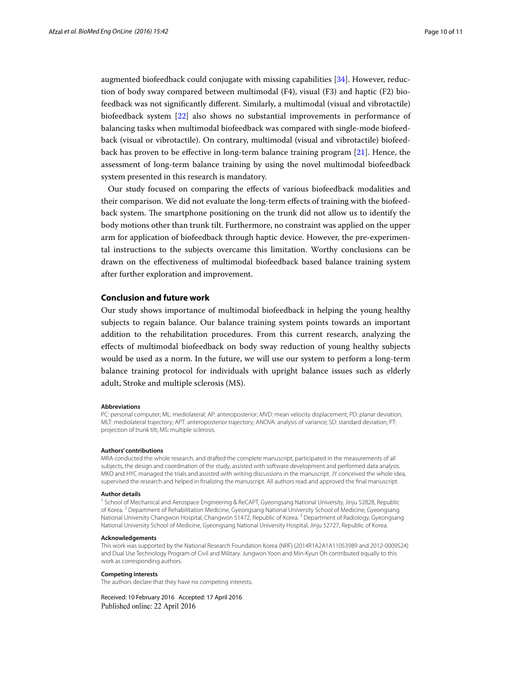augmented biofeedback could conjugate with missing capabilities [[34\]](#page-10-25). However, reduction of body sway compared between multimodal (F4), visual (F3) and haptic (F2) biofeedback was not significantly different. Similarly, a multimodal (visual and vibrotactile) biofeedback system [[22\]](#page-10-15) also shows no substantial improvements in performance of balancing tasks when multimodal biofeedback was compared with single-mode biofeedback (visual or vibrotactile). On contrary, multimodal (visual and vibrotactile) biofeedback has proven to be effective in long-term balance training program [[21\]](#page-10-14). Hence, the assessment of long-term balance training by using the novel multimodal biofeedback system presented in this research is mandatory.

Our study focused on comparing the effects of various biofeedback modalities and their comparison. We did not evaluate the long-term effects of training with the biofeedback system. The smartphone positioning on the trunk did not allow us to identify the body motions other than trunk tilt. Furthermore, no constraint was applied on the upper arm for application of biofeedback through haptic device. However, the pre-experimental instructions to the subjects overcame this limitation. Worthy conclusions can be drawn on the effectiveness of multimodal biofeedback based balance training system after further exploration and improvement.

## **Conclusion and future work**

Our study shows importance of multimodal biofeedback in helping the young healthy subjects to regain balance. Our balance training system points towards an important addition to the rehabilitation procedures. From this current research, analyzing the effects of multimodal biofeedback on body sway reduction of young healthy subjects would be used as a norm. In the future, we will use our system to perform a long-term balance training protocol for individuals with upright balance issues such as elderly adult, Stroke and multiple sclerosis (MS).

#### **Abbreviations**

PC: personal computer; ML: mediolateral; AP: anteroposterior; MVD: mean velocity displacement; PD: planar deviation; MLT: mediolateral trajectory; APT: anteroposterior trajectory; ANOVA: analysis of variance; SD: standard deviation; PT: projection of trunk tilt; MS: multiple sclerosis.

#### **Authors' contributions**

MRA conducted the whole research, and drafted the complete manuscript, participated in the measurements of all subjects, the design and coordination of the study, assisted with software development and performed data analysis. MKO and HYC managed the trials and assisted with writing discussions in the manuscript. JY conceived the whole idea, supervised the research and helped in finalizing the manuscript. All authors read and approved the final manuscript.

#### **Author details**

<sup>1</sup> School of Mechanical and Aerospace Engineering & ReCAPT, Gyeongsang National University, Jinju 52828, Republic of Korea. <sup>2</sup> Department of Rehabilitation Medicine, Gyeongsang National University School of Medicine, Gyeongsang National University Changwon Hospital, Changwon 51472, Republic of Korea.<sup>3</sup> Department of Radiology, Gyeongsang National University School of Medicine, Gyeongsang National University Hospital, Jinju 52727, Republic of Korea.

#### **Acknowledgements**

This work was supported by the National Research Foundation Korea (NRF) (2014R1A2A1A11053989 and 2012-0009524) and Dual Use Technology Program of Civil and Military. Jungwon Yoon and Min-Kyun Oh contributed equally to this work as corresponding authors.

#### **Competing interests**

The authors declare that they have no competing interests.

Received: 10 February 2016 Accepted: 17 April 2016Published online: 22 April 2016